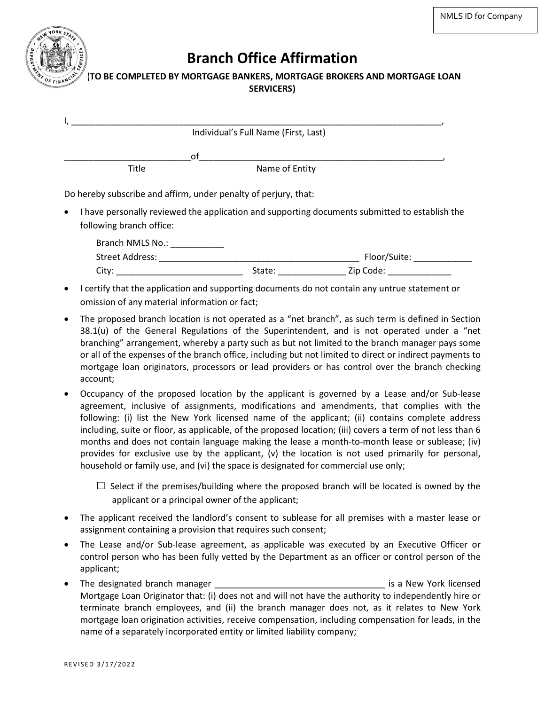

## **Branch Office Affirmation**

## **((TO BE COMPLETED BY MORTGAGE BANKERS, MORTGAGE BROKERS AND MORTGAGE LOAN SERVICERS)**

|                                                                 | Individual's Full Name (First, Last) |                                                                                                |
|-----------------------------------------------------------------|--------------------------------------|------------------------------------------------------------------------------------------------|
|                                                                 | οf                                   |                                                                                                |
| Title                                                           | Name of Entity                       |                                                                                                |
| Do hereby subscribe and affirm, under penalty of perjury, that: |                                      |                                                                                                |
| $\bullet$<br>following branch office:                           |                                      | I have personally reviewed the application and supporting documents submitted to establish the |
| Branch NMLS No.: ___________                                    |                                      |                                                                                                |
| Street Address:                                                 |                                      | Floor/Suite:                                                                                   |
| City:                                                           | State:                               | Zip Code:                                                                                      |

- I certify that the application and supporting documents do not contain any untrue statement or omission of any material information or fact;
- The proposed branch location is not operated as a "net branch", as such term is defined in Section 38.1(u) of the General Regulations of the Superintendent, and is not operated under a "net branching" arrangement, whereby a party such as but not limited to the branch manager pays some or all of the expenses of the branch office, including but not limited to direct or indirect payments to mortgage loan originators, processors or lead providers or has control over the branch checking account;
- Occupancy of the proposed location by the applicant is governed by a Lease and/or Sub-lease agreement, inclusive of assignments, modifications and amendments, that complies with the following: (i) list the New York licensed name of the applicant; (ii) contains complete address including, suite or floor, as applicable, of the proposed location; (iii) covers a term of not less than 6 months and does not contain language making the lease a month-to-month lease or sublease; (iv) provides for exclusive use by the applicant, (v) the location is not used primarily for personal, household or family use, and (vi) the space is designated for commercial use only;

 $\square$  Select if the premises/building where the proposed branch will be located is owned by the applicant or a principal owner of the applicant;

- The applicant received the landlord's consent to sublease for all premises with a master lease or assignment containing a provision that requires such consent;
- The Lease and/or Sub-lease agreement, as applicable was executed by an Executive Officer or control person who has been fully vetted by the Department as an officer or control person of the applicant;
- The designated branch manager **the set of the set of the set of the set of the set of the set of the set of the set of the set of the set of the set of the set of the set of the set of the set of the set of the set of the** Mortgage Loan Originator that: (i) does not and will not have the authority to independently hire or terminate branch employees, and (ii) the branch manager does not, as it relates to New York mortgage loan origination activities, receive compensation, including compensation for leads, in the name of a separately incorporated entity or limited liability company;